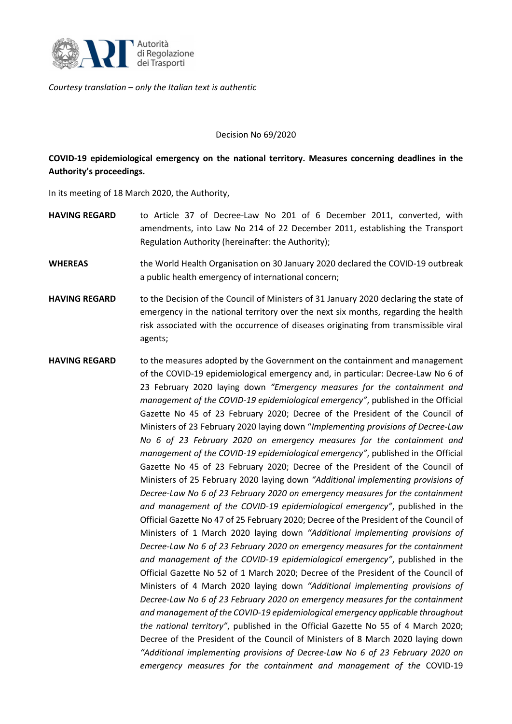

*Courtesy translation – only the Italian text is authentic*

## Decision No 69/2020

## **COVID-19 epidemiological emergency on the national territory. Measures concerning deadlines in the Authority's proceedings.**

In its meeting of 18 March 2020, the Authority,

- **HAVING REGARD** to Article 37 of Decree-Law No 201 of 6 December 2011, converted, with amendments, into Law No 214 of 22 December 2011, establishing the Transport Regulation Authority (hereinafter: the Authority);
- **WHEREAS** the World Health Organisation on 30 January 2020 declared the COVID-19 outbreak a public health emergency of international concern;
- **HAVING REGARD** to the Decision of the Council of Ministers of 31 January 2020 declaring the state of emergency in the national territory over the next six months, regarding the health risk associated with the occurrence of diseases originating from transmissible viral agents;
- **HAVING REGARD** to the measures adopted by the Government on the containment and management of the COVID-19 epidemiological emergency and, in particular: Decree-Law No 6 of 23 February 2020 laying down *"Emergency measures for the containment and management of the COVID-19 epidemiological emergency"*, published in the Official Gazette No 45 of 23 February 2020; Decree of the President of the Council of Ministers of 23 February 2020 laying down "*Implementing provisions of Decree-Law No 6 of 23 February 2020 on emergency measures for the containment and management of the COVID-19 epidemiological emergency"*, published in the Official Gazette No 45 of 23 February 2020; Decree of the President of the Council of Ministers of 25 February 2020 laying down *"Additional implementing provisions of Decree-Law No 6 of 23 February 2020 on emergency measures for the containment and management of the COVID-19 epidemiological emergency"*, published in the Official Gazette No 47 of 25 February 2020; Decree of the President of the Council of Ministers of 1 March 2020 laying down *"Additional implementing provisions of Decree-Law No 6 of 23 February 2020 on emergency measures for the containment and management of the COVID-19 epidemiological emergency"*, published in the Official Gazette No 52 of 1 March 2020; Decree of the President of the Council of Ministers of 4 March 2020 laying down *"Additional implementing provisions of Decree-Law No 6 of 23 February 2020 on emergency measures for the containment and management of the COVID-19 epidemiological emergency applicable throughout the national territory"*, published in the Official Gazette No 55 of 4 March 2020; Decree of the President of the Council of Ministers of 8 March 2020 laying down *"Additional implementing provisions of Decree-Law No 6 of 23 February 2020 on emergency measures for the containment and management of the* COVID-19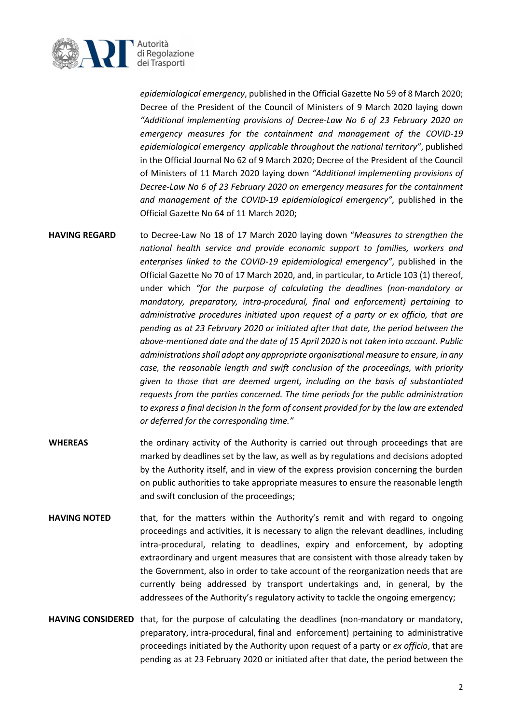

*epidemiological emergency*, published in the Official Gazette No 59 of 8 March 2020; Decree of the President of the Council of Ministers of 9 March 2020 laying down *"Additional implementing provisions of Decree-Law No 6 of 23 February 2020 on emergency measures for the containment and management of the COVID-19 epidemiological emergency applicable throughout the national territory"*, published in the Official Journal No 62 of 9 March 2020; Decree of the President of the Council of Ministers of 11 March 2020 laying down *"Additional implementing provisions of Decree-Law No 6 of 23 February 2020 on emergency measures for the containment and management of the COVID-19 epidemiological emergency",* published in the Official Gazette No 64 of 11 March 2020;

**HAVING REGARD** to Decree-Law No 18 of 17 March 2020 laying down "*Measures to strengthen the national health service and provide economic support to families, workers and enterprises linked to the COVID-19 epidemiological emergency"*, published in the Official Gazette No 70 of 17 March 2020, and, in particular, to Article 103 (1) thereof, under which *"for the purpose of calculating the deadlines (non-mandatory or mandatory, preparatory, intra-procedural, final and enforcement) pertaining to administrative procedures initiated upon request of a party or ex officio, that are pending as at 23 February 2020 or initiated after that date, the period between the above-mentioned date and the date of 15 April 2020 is not taken into account. Public administrations shall adopt any appropriate organisational measure to ensure, in any case, the reasonable length and swift conclusion of the proceedings, with priority given to those that are deemed urgent, including on the basis of substantiated requests from the parties concerned. The time periods for the public administration to express a final decision in the form of consent provided for by the law are extended or deferred for the corresponding time."*

- **WHEREAS** the ordinary activity of the Authority is carried out through proceedings that are marked by deadlines set by the law, as well as by regulations and decisions adopted by the Authority itself, and in view of the express provision concerning the burden on public authorities to take appropriate measures to ensure the reasonable length and swift conclusion of the proceedings;
- **HAVING NOTED** that, for the matters within the Authority's remit and with regard to ongoing proceedings and activities, it is necessary to align the relevant deadlines, including intra-procedural, relating to deadlines, expiry and enforcement, by adopting extraordinary and urgent measures that are consistent with those already taken by the Government, also in order to take account of the reorganization needs that are currently being addressed by transport undertakings and, in general, by the addressees of the Authority's regulatory activity to tackle the ongoing emergency;
- **HAVING CONSIDERED** that, for the purpose of calculating the deadlines (non-mandatory or mandatory, preparatory, intra-procedural, final and enforcement) pertaining to administrative proceedings initiated by the Authority upon request of a party or *ex officio*, that are pending as at 23 February 2020 or initiated after that date, the period between the